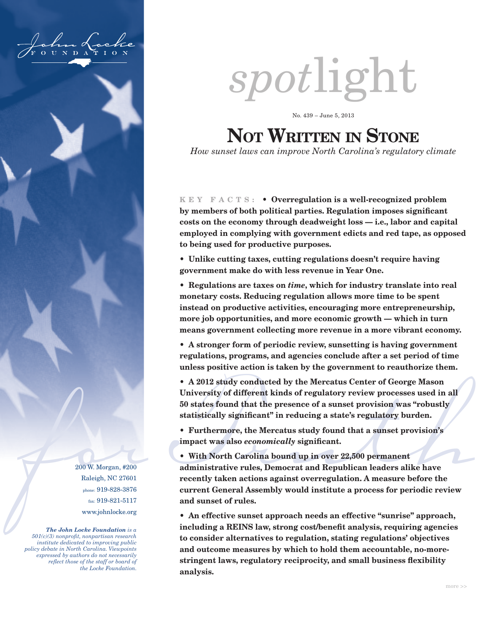

200 W. Morgan, #200 Raleigh, NC 27601 phone: 919-828-3876 fax: 919-821-5117 www.johnlocke.org

*The John Locke Foundation is a 501(c)(3) nonprofit, nonpartisan research institute dedicated to improving public policy debate in North Carolina. Viewpoints expressed by authors do not necessarily reflect those of the staff or board of the Locke Foundation.*

# *spot*light

No. 439 – June 5, 2013

# **Not Written in Stone**

*How sunset laws can improve North Carolina's regulatory climate*

**K E Y F A C T S : • Overregulation is a well-recognized problem by members of both political parties. Regulation imposes significant costs on the economy through deadweight loss — i.e., labor and capital employed in complying with government edicts and red tape, as opposed to being used for productive purposes.**

**• Unlike cutting taxes, cutting regulations doesn't require having government make do with less revenue in Year One.**

**• Regulations are taxes on** *time***, which for industry translate into real monetary costs. Reducing regulation allows more time to be spent instead on productive activities, encouraging more entrepreneurship, more job opportunities, and more economic growth — which in turn means government collecting more revenue in a more vibrant economy.**

**• A stronger form of periodic review, sunsetting is having government regulations, programs, and agencies conclude after a set period of time unless positive action is taken by the government to reauthorize them.**

**• A 2012 study conducted by the Mercatus Center of George Mason University of different kinds of regulatory review processes used in all 50 states found that the presence of a sunset provision was "robustly statistically significant" in reducing a state's regulatory burden.**

**• Furthermore, the Mercatus study found that a sunset provision's impact was also** *economically* **significant.**

50 states found that the presence of a sunset provision was "robustly<br>statistically significant" in reducing a state's regulatory burden.<br>• Furthermore, the Mercatus study found that a sunset provision's<br>impact was also **• With North Carolina bound up in over 22,500 permanent administrative rules, Democrat and Republican leaders alike have recently taken actions against overregulation. A measure before the current General Assembly would institute a process for periodic review and sunset of rules.**

> **• An effective sunset approach needs an effective "sunrise" approach, including a REINS law, strong cost/benefit analysis, requiring agencies to consider alternatives to regulation, stating regulations' objectives and outcome measures by which to hold them accountable, no-morestringent laws, regulatory reciprocity, and small business flexibility analysis.**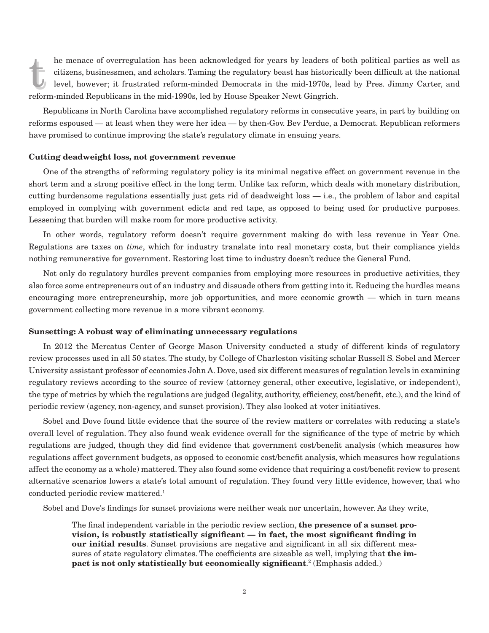The menace of overteguation has been achibiwidged for years by leaders of<br>citizens, businessmen, and scholars. Taming the regulatory beast has historica<br>level, however; it frustrated reform-minded Democrats in the mid-1970 the menace of overregulation has been acknowledged for years by leaders of both political parties as well as<br>citizens, businessmen, and scholars. Taming the regulatory beast has historically been difficult at the national<br> citizens, businessmen, and scholars. Taming the regulatory beast has historically been difficult at the national level, however; it frustrated reform-minded Democrats in the mid-1970s, lead by Pres. Jimmy Carter, and

Republicans in North Carolina have accomplished regulatory reforms in consecutive years, in part by building on reforms espoused — at least when they were her idea — by then-Gov. Bev Perdue, a Democrat. Republican reformers have promised to continue improving the state's regulatory climate in ensuing years.

## **Cutting deadweight loss, not government revenue**

One of the strengths of reforming regulatory policy is its minimal negative effect on government revenue in the short term and a strong positive effect in the long term. Unlike tax reform, which deals with monetary distribution, cutting burdensome regulations essentially just gets rid of deadweight loss — i.e., the problem of labor and capital employed in complying with government edicts and red tape, as opposed to being used for productive purposes. Lessening that burden will make room for more productive activity.

In other words, regulatory reform doesn't require government making do with less revenue in Year One. Regulations are taxes on *time*, which for industry translate into real monetary costs, but their compliance yields nothing remunerative for government. Restoring lost time to industry doesn't reduce the General Fund.

Not only do regulatory hurdles prevent companies from employing more resources in productive activities, they also force some entrepreneurs out of an industry and dissuade others from getting into it. Reducing the hurdles means encouraging more entrepreneurship, more job opportunities, and more economic growth — which in turn means government collecting more revenue in a more vibrant economy.

# **Sunsetting: A robust way of eliminating unnecessary regulations**

In 2012 the Mercatus Center of George Mason University conducted a study of different kinds of regulatory review processes used in all 50 states. The study, by College of Charleston visiting scholar Russell S. Sobel and Mercer University assistant professor of economics John A. Dove, used six different measures of regulation levels in examining regulatory reviews according to the source of review (attorney general, other executive, legislative, or independent), the type of metrics by which the regulations are judged (legality, authority, efficiency, cost/benefit, etc.), and the kind of periodic review (agency, non-agency, and sunset provision). They also looked at voter initiatives.

Sobel and Dove found little evidence that the source of the review matters or correlates with reducing a state's overall level of regulation. They also found weak evidence overall for the significance of the type of metric by which regulations are judged, though they did find evidence that government cost/benefit analysis (which measures how regulations affect government budgets, as opposed to economic cost/benefit analysis, which measures how regulations affect the economy as a whole) mattered. They also found some evidence that requiring a cost/benefit review to present alternative scenarios lowers a state's total amount of regulation. They found very little evidence, however, that who conducted periodic review mattered.<sup>1</sup>

Sobel and Dove's findings for sunset provisions were neither weak nor uncertain, however. As they write,

The final independent variable in the periodic review section, **the presence of a sunset provision, is robustly statistically significant — in fact, the most significant finding in our initial results**. Sunset provisions are negative and significant in all six different measures of state regulatory climates. The coefficients are sizeable as well, implying that **the impact is not only statistically but economically significant**. 2 (Emphasis added.)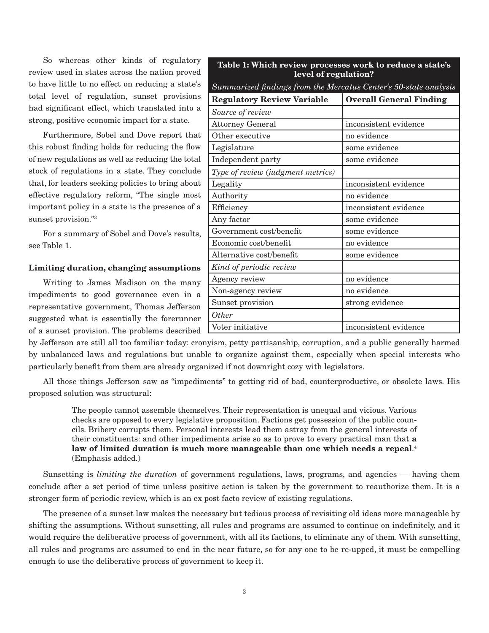So whereas other kinds of regulatory review used in states across the nation proved to have little to no effect on reducing a state's total level of regulation, sunset provisions had significant effect, which translated into a strong, positive economic impact for a state.

Furthermore, Sobel and Dove report that this robust finding holds for reducing the flow of new regulations as well as reducing the total stock of regulations in a state. They conclude that, for leaders seeking policies to bring about effective regulatory reform, "The single most important policy in a state is the presence of a sunset provision."3

For a summary of Sobel and Dove's results, see Table 1.

# **Limiting duration, changing assumptions**

Writing to James Madison on the many impediments to good governance even in a representative government, Thomas Jefferson suggested what is essentially the forerunner of a sunset provision. The problems described

| level of regulation?                                                |                                |
|---------------------------------------------------------------------|--------------------------------|
| Summarized findings from the Mercatus Center's 50-state analysis    |                                |
| <b>Regulatory Review Variable</b>                                   | <b>Overall General Finding</b> |
| Source of review                                                    |                                |
| <b>Attorney General</b>                                             | inconsistent evidence          |
| Other executive                                                     | no evidence                    |
| Legislature                                                         | some evidence                  |
| Independent party                                                   | some evidence                  |
| Type of review (judgment metrics)                                   |                                |
| Legality                                                            | inconsistent evidence          |
| Authority                                                           | no evidence                    |
| Efficiency                                                          | inconsistent evidence          |
| Any factor                                                          | some evidence                  |
| Government cost/benefit                                             | some evidence                  |
| Economic cost/benefit                                               | no evidence                    |
| Alternative cost/benefit                                            | some evidence                  |
| Kind of periodic review                                             |                                |
| Agency review                                                       | no evidence                    |
| Non-agency review                                                   | no evidence                    |
| Sunset provision                                                    | strong evidence                |
| Other                                                               |                                |
| Voter initiative                                                    | inconsistent evidence          |
| zism, petty partisanship, corruption, and a public generally harmed |                                |

**Table 1: Which review processes work to reduce a state's** 

by Jefferson are still all too familiar today: crony by unbalanced laws and regulations but unable to organize against them, especially when special interests who particularly benefit from them are already organized if not downright cozy with legislators.

All those things Jefferson saw as "impediments" to getting rid of bad, counterproductive, or obsolete laws. His proposed solution was structural:

The people cannot assemble themselves. Their representation is unequal and vicious. Various checks are opposed to every legislative proposition. Factions get possession of the public councils. Bribery corrupts them. Personal interests lead them astray from the general interests of their constituents: and other impediments arise so as to prove to every practical man that **a law of limited duration is much more manageable than one which needs a repeal**. 4 (Emphasis added.)

Sunsetting is *limiting the duration* of government regulations, laws, programs, and agencies — having them conclude after a set period of time unless positive action is taken by the government to reauthorize them. It is a stronger form of periodic review, which is an ex post facto review of existing regulations.

The presence of a sunset law makes the necessary but tedious process of revisiting old ideas more manageable by shifting the assumptions. Without sunsetting, all rules and programs are assumed to continue on indefinitely, and it would require the deliberative process of government, with all its factions, to eliminate any of them. With sunsetting, all rules and programs are assumed to end in the near future, so for any one to be re-upped, it must be compelling enough to use the deliberative process of government to keep it.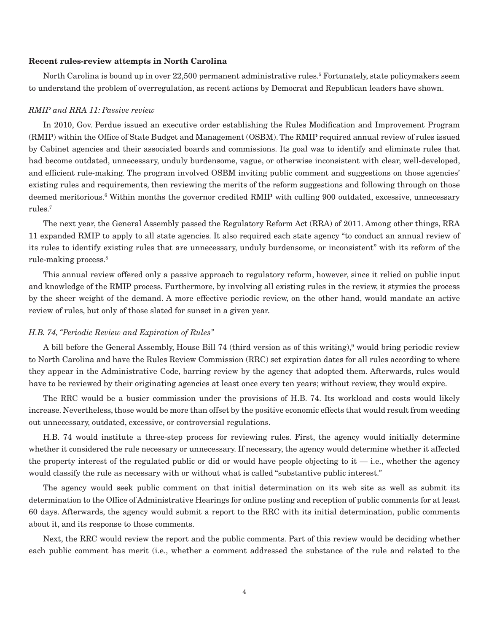# **Recent rules-review attempts in North Carolina**

North Carolina is bound up in over 22,500 permanent administrative rules.<sup>5</sup> Fortunately, state policymakers seem to understand the problem of overregulation, as recent actions by Democrat and Republican leaders have shown.

# *RMIP and RRA 11: Passive review*

In 2010, Gov. Perdue issued an executive order establishing the Rules Modification and Improvement Program (RMIP) within the Office of State Budget and Management (OSBM). The RMIP required annual review of rules issued by Cabinet agencies and their associated boards and commissions. Its goal was to identify and eliminate rules that had become outdated, unnecessary, unduly burdensome, vague, or otherwise inconsistent with clear, well-developed, and efficient rule-making. The program involved OSBM inviting public comment and suggestions on those agencies' existing rules and requirements, then reviewing the merits of the reform suggestions and following through on those deemed meritorious.6 Within months the governor credited RMIP with culling 900 outdated, excessive, unnecessary rules.7

The next year, the General Assembly passed the Regulatory Reform Act (RRA) of 2011. Among other things, RRA 11 expanded RMIP to apply to all state agencies. It also required each state agency "to conduct an annual review of its rules to identify existing rules that are unnecessary, unduly burdensome, or inconsistent" with its reform of the rule-making process.8

This annual review offered only a passive approach to regulatory reform, however, since it relied on public input and knowledge of the RMIP process. Furthermore, by involving all existing rules in the review, it stymies the process by the sheer weight of the demand. A more effective periodic review, on the other hand, would mandate an active review of rules, but only of those slated for sunset in a given year.

#### *H.B. 74, "Periodic Review and Expiration of Rules"*

A bill before the General Assembly, House Bill 74 (third version as of this writing),9 would bring periodic review to North Carolina and have the Rules Review Commission (RRC) set expiration dates for all rules according to where they appear in the Administrative Code, barring review by the agency that adopted them. Afterwards, rules would have to be reviewed by their originating agencies at least once every ten years; without review, they would expire.

The RRC would be a busier commission under the provisions of H.B. 74. Its workload and costs would likely increase. Nevertheless, those would be more than offset by the positive economic effects that would result from weeding out unnecessary, outdated, excessive, or controversial regulations.

H.B. 74 would institute a three-step process for reviewing rules. First, the agency would initially determine whether it considered the rule necessary or unnecessary. If necessary, the agency would determine whether it affected the property interest of the regulated public or did or would have people objecting to it  $-$  i.e., whether the agency would classify the rule as necessary with or without what is called "substantive public interest."

The agency would seek public comment on that initial determination on its web site as well as submit its determination to the Office of Administrative Hearings for online posting and reception of public comments for at least 60 days. Afterwards, the agency would submit a report to the RRC with its initial determination, public comments about it, and its response to those comments.

Next, the RRC would review the report and the public comments. Part of this review would be deciding whether each public comment has merit (i.e., whether a comment addressed the substance of the rule and related to the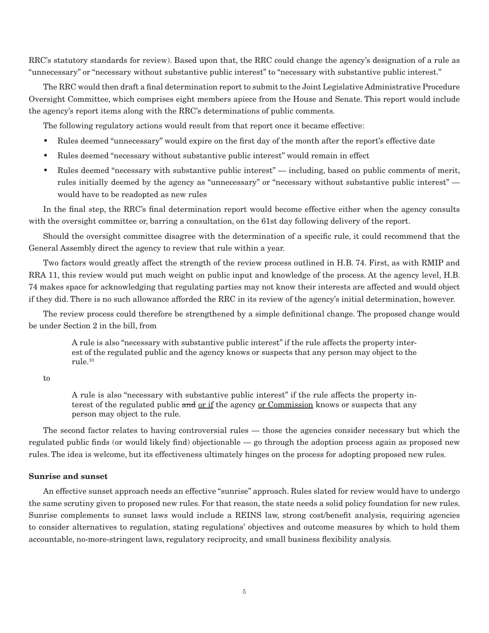RRC's statutory standards for review). Based upon that, the RRC could change the agency's designation of a rule as "unnecessary" or "necessary without substantive public interest" to "necessary with substantive public interest."

The RRC would then draft a final determination report to submit to the Joint Legislative Administrative Procedure Oversight Committee, which comprises eight members apiece from the House and Senate. This report would include the agency's report items along with the RRC's determinations of public comments.

The following regulatory actions would result from that report once it became effective:

- Rules deemed "unnecessary" would expire on the first day of the month after the report's effective date
- Rules deemed "necessary without substantive public interest" would remain in effect
- Rules deemed "necessary with substantive public interest" including, based on public comments of merit, rules initially deemed by the agency as "unnecessary" or "necessary without substantive public interest" would have to be readopted as new rules

In the final step, the RRC's final determination report would become effective either when the agency consults with the oversight committee or, barring a consultation, on the 61st day following delivery of the report.

Should the oversight committee disagree with the determination of a specific rule, it could recommend that the General Assembly direct the agency to review that rule within a year.

Two factors would greatly affect the strength of the review process outlined in H.B. 74. First, as with RMIP and RRA 11, this review would put much weight on public input and knowledge of the process. At the agency level, H.B. 74 makes space for acknowledging that regulating parties may not know their interests are affected and would object if they did. There is no such allowance afforded the RRC in its review of the agency's initial determination, however.

The review process could therefore be strengthened by a simple definitional change. The proposed change would be under Section 2 in the bill, from

A rule is also "necessary with substantive public interest" if the rule affects the property interest of the regulated public and the agency knows or suspects that any person may object to the rule.10

to

A rule is also "necessary with substantive public interest" if the rule affects the property interest of the regulated public and or if the agency or Commission knows or suspects that any person may object to the rule.

The second factor relates to having controversial rules — those the agencies consider necessary but which the regulated public finds (or would likely find) objectionable — go through the adoption process again as proposed new rules. The idea is welcome, but its effectiveness ultimately hinges on the process for adopting proposed new rules.

# **Sunrise and sunset**

An effective sunset approach needs an effective "sunrise" approach. Rules slated for review would have to undergo the same scrutiny given to proposed new rules. For that reason, the state needs a solid policy foundation for new rules. Sunrise complements to sunset laws would include a REINS law, strong cost/benefit analysis, requiring agencies to consider alternatives to regulation, stating regulations' objectives and outcome measures by which to hold them accountable, no-more-stringent laws, regulatory reciprocity, and small business flexibility analysis.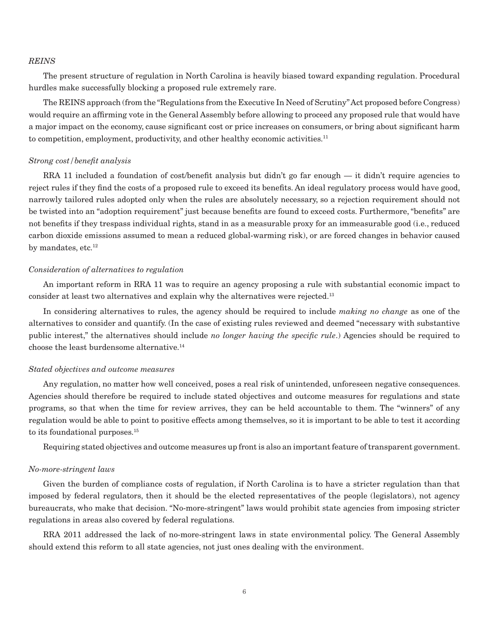#### *REINS*

The present structure of regulation in North Carolina is heavily biased toward expanding regulation. Procedural hurdles make successfully blocking a proposed rule extremely rare.

The REINS approach (from the "Regulations from the Executive In Need of Scrutiny" Act proposed before Congress) would require an affirming vote in the General Assembly before allowing to proceed any proposed rule that would have a major impact on the economy, cause significant cost or price increases on consumers, or bring about significant harm to competition, employment, productivity, and other healthy economic activities.11

#### *Strong cost/benefit analysis*

RRA 11 included a foundation of cost/benefit analysis but didn't go far enough — it didn't require agencies to reject rules if they find the costs of a proposed rule to exceed its benefits. An ideal regulatory process would have good, narrowly tailored rules adopted only when the rules are absolutely necessary, so a rejection requirement should not be twisted into an "adoption requirement" just because benefits are found to exceed costs. Furthermore, "benefits" are not benefits if they trespass individual rights, stand in as a measurable proxy for an immeasurable good (i.e., reduced carbon dioxide emissions assumed to mean a reduced global-warming risk), or are forced changes in behavior caused by mandates, etc.<sup>12</sup>

#### *Consideration of alternatives to regulation*

An important reform in RRA 11 was to require an agency proposing a rule with substantial economic impact to consider at least two alternatives and explain why the alternatives were rejected.13

In considering alternatives to rules, the agency should be required to include *making no change* as one of the alternatives to consider and quantify. (In the case of existing rules reviewed and deemed "necessary with substantive public interest," the alternatives should include *no longer having the specific rule*.) Agencies should be required to choose the least burdensome alternative.14

# *Stated objectives and outcome measures*

Any regulation, no matter how well conceived, poses a real risk of unintended, unforeseen negative consequences. Agencies should therefore be required to include stated objectives and outcome measures for regulations and state programs, so that when the time for review arrives, they can be held accountable to them. The "winners" of any regulation would be able to point to positive effects among themselves, so it is important to be able to test it according to its foundational purposes.15

Requiring stated objectives and outcome measures up front is also an important feature of transparent government.

#### *No-more-stringent laws*

Given the burden of compliance costs of regulation, if North Carolina is to have a stricter regulation than that imposed by federal regulators, then it should be the elected representatives of the people (legislators), not agency bureaucrats, who make that decision. "No-more-stringent" laws would prohibit state agencies from imposing stricter regulations in areas also covered by federal regulations.

RRA 2011 addressed the lack of no-more-stringent laws in state environmental policy. The General Assembly should extend this reform to all state agencies, not just ones dealing with the environment.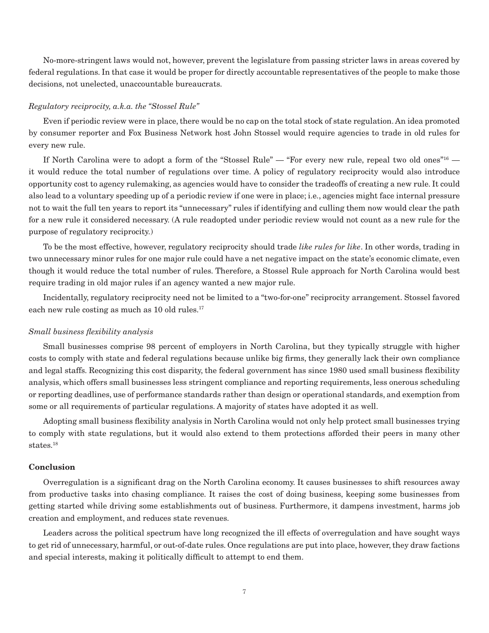No-more-stringent laws would not, however, prevent the legislature from passing stricter laws in areas covered by federal regulations. In that case it would be proper for directly accountable representatives of the people to make those decisions, not unelected, unaccountable bureaucrats.

# *Regulatory reciprocity, a.k.a. the "Stossel Rule"*

Even if periodic review were in place, there would be no cap on the total stock of state regulation. An idea promoted by consumer reporter and Fox Business Network host John Stossel would require agencies to trade in old rules for every new rule.

If North Carolina were to adopt a form of the "Stossel Rule" — "For every new rule, repeal two old ones"<sup>16</sup> it would reduce the total number of regulations over time. A policy of regulatory reciprocity would also introduce opportunity cost to agency rulemaking, as agencies would have to consider the tradeoffs of creating a new rule. It could also lead to a voluntary speeding up of a periodic review if one were in place; i.e., agencies might face internal pressure not to wait the full ten years to report its "unnecessary" rules if identifying and culling them now would clear the path for a new rule it considered necessary. (A rule readopted under periodic review would not count as a new rule for the purpose of regulatory reciprocity.)

To be the most effective, however, regulatory reciprocity should trade *like rules for like*. In other words, trading in two unnecessary minor rules for one major rule could have a net negative impact on the state's economic climate, even though it would reduce the total number of rules. Therefore, a Stossel Rule approach for North Carolina would best require trading in old major rules if an agency wanted a new major rule.

Incidentally, regulatory reciprocity need not be limited to a "two-for-one" reciprocity arrangement. Stossel favored each new rule costing as much as 10 old rules.<sup>17</sup>

#### *Small business flexibility analysis*

Small businesses comprise 98 percent of employers in North Carolina, but they typically struggle with higher costs to comply with state and federal regulations because unlike big firms, they generally lack their own compliance and legal staffs. Recognizing this cost disparity, the federal government has since 1980 used small business flexibility analysis, which offers small businesses less stringent compliance and reporting requirements, less onerous scheduling or reporting deadlines, use of performance standards rather than design or operational standards, and exemption from some or all requirements of particular regulations. A majority of states have adopted it as well.

Adopting small business flexibility analysis in North Carolina would not only help protect small businesses trying to comply with state regulations, but it would also extend to them protections afforded their peers in many other states.18

# **Conclusion**

Overregulation is a significant drag on the North Carolina economy. It causes businesses to shift resources away from productive tasks into chasing compliance. It raises the cost of doing business, keeping some businesses from getting started while driving some establishments out of business. Furthermore, it dampens investment, harms job creation and employment, and reduces state revenues.

Leaders across the political spectrum have long recognized the ill effects of overregulation and have sought ways to get rid of unnecessary, harmful, or out-of-date rules. Once regulations are put into place, however, they draw factions and special interests, making it politically difficult to attempt to end them.